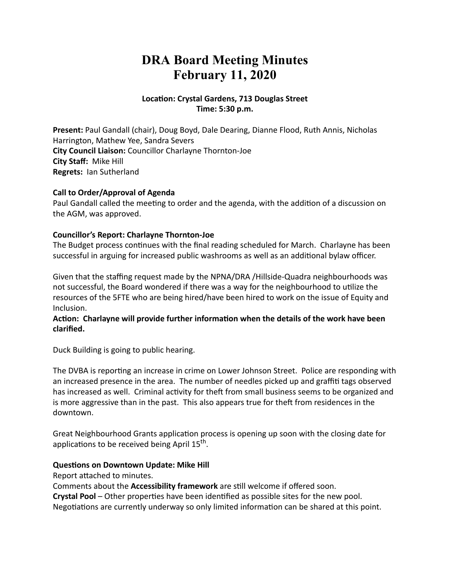# **DRA Board Meeting Minutes February 11, 2020**

#### **Location: Crystal Gardens, 713 Douglas Street Time: 5:30 p.m.**

**Present:** Paul Gandall (chair), Doug Boyd, Dale Dearing, Dianne Flood, Ruth Annis, Nicholas Harrington, Mathew Yee, Sandra Severs **City Council Liaison:** Councillor Charlayne Thornton-Joe **City Staff:** Mike Hill **Regrets:** Ian Sutherland

#### **Call to Order/Approval of Agenda**

Paul Gandall called the meeting to order and the agenda, with the addition of a discussion on the AGM, was approved.

#### **Councillor's Report: Charlayne Thornton-Joe**

The Budget process continues with the final reading scheduled for March. Charlayne has been successful in arguing for increased public washrooms as well as an additional bylaw officer.

Given that the staffing request made by the NPNA/DRA /Hillside-Quadra neighbourhoods was not successful, the Board wondered if there was a way for the neighbourhood to utilize the resources of the 5FTE who are being hired/have been hired to work on the issue of Equity and Inclusion.

#### Action: Charlayne will provide further information when the details of the work have been **clarified.**

Duck Building is going to public hearing.

The DVBA is reporting an increase in crime on Lower Johnson Street. Police are responding with an increased presence in the area. The number of needles picked up and graffiti tags observed has increased as well. Criminal activity for theft from small business seems to be organized and is more aggressive than in the past. This also appears true for theft from residences in the downtown.

Great Neighbourhood Grants application process is opening up soon with the closing date for applications to be received being April  $15<sup>th</sup>$ .

#### **Questions on Downtown Update: Mike Hill**

Report attached to minutes.

Comments about the **Accessibility framework** are still welcome if offered soon.

**Crystal Pool** – Other properties have been identified as possible sites for the new pool.

Negotiations are currently underway so only limited information can be shared at this point.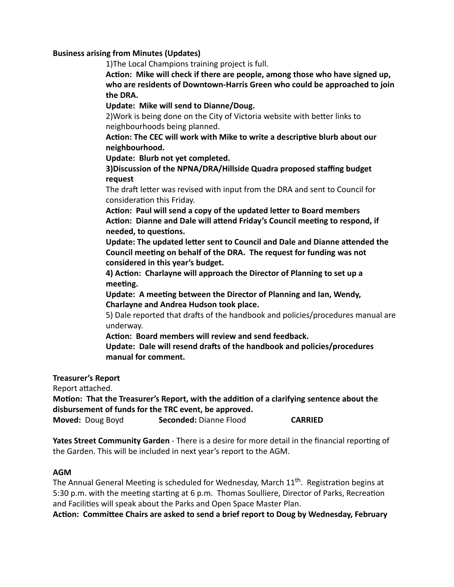#### **Business arising from Minutes (Updates)**

1)The Local Champions training project is full.

Action: Mike will check if there are people, among those who have signed up, **who are residents of Downtown-Harris Green who could be approached to join the DRA.**

**Update: Mike will send to Dianne/Doug.**

2) Work is being done on the City of Victoria website with better links to neighbourhoods being planned.

Action: The CEC will work with Mike to write a descriptive blurb about our **neighbourhood.**

**Update: Blurb not yet completed.**

**3)Discussion of the NPNA/DRA/Hillside Quadra proposed staffing budget request**

The draft letter was revised with input from the DRA and sent to Council for consideration this Friday.

Action: Paul will send a copy of the updated letter to Board members Action: Dianne and Dale will attend Friday's Council meeting to respond, if  $need$ , to questions.

**Update: The updated letter sent to Council and Dale and Dianne attended the Council meeting on behalf of the DRA. The request for funding was not considered in this year's budget.**

4) Action: Charlayne will approach the Director of Planning to set up a meeting.

**Update: A meeting between the Director of Planning and Ian, Wendy, Charlayne and Andrea Hudson took place.**

5) Dale reported that drafts of the handbook and policies/procedures manual are underway.

Action: Board members will review and send feedback.

Update: Dale will resend drafts of the handbook and policies/procedures **manual for comment.**

**Treasurer's Report**

Report attached.

**Motion: That the Treasurer's Report, with the addition of a clarifying sentence about the disbursement of funds for the TRC event, be approved.**

**Moved:** Doug Boyd **Seconded:** Dianne Flood **CARRIED**

**Yates Street Community Garden** - There is a desire for more detail in the financial reporting of the Garden. This will be included in next year's report to the AGM.

#### **AGM**

The Annual General Meeting is scheduled for Wednesday, March  $11<sup>th</sup>$ . Registration begins at 5:30 p.m. with the meeting starting at 6 p.m. Thomas Soulliere, Director of Parks, Recreation and Facilities will speak about the Parks and Open Space Master Plan.

Action: Committee Chairs are asked to send a brief report to Doug by Wednesday, February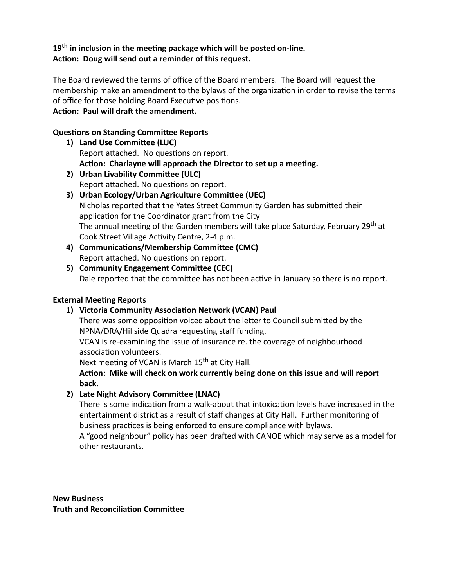#### 19<sup>th</sup> in inclusion in the meeting package which will be posted on-line. Action: Doug will send out a reminder of this request.

The Board reviewed the terms of office of the Board members. The Board will request the membership make an amendment to the bylaws of the organization in order to revise the terms of office for those holding Board Executive positions. Action: Paul will draft the amendment.

# **Questions on Standing Committee Reports**

- Report attached. No questions on report. Action: Charlayne will approach the Director to set up a meeting. 1) Land Use Committee (LUC)
- Report attached. No questions on report. **2)** Urban Livability Committee (ULC)
- Nicholas reported that the Yates Street Community Garden has submitted their application for the Coordinator grant from the City The annual meeting of the Garden members will take place Saturday, February 29<sup>th</sup> at Cook Street Village Activity Centre, 2-4 p.m. **3) Urban Ecology/Urban Agriculture Committee (UEC)**
- Report attached. No questions on report. 4) **Communications/Membership Committee (CMC)**
- Dale reported that the committee has not been active in January so there is no report. **5)** Community Engagement Committee (CEC)

## **External Meeting Reports**

1) Victoria Community Association Network (VCAN) Paul

There was some opposition voiced about the letter to Council submitted by the NPNA/DRA/Hillside Quadra requesting staff funding.

VCAN is re-examining the issue of insurance re. the coverage of neighbourhood association volunteers.

Next meeting of VCAN is March 15<sup>th</sup> at City Hall.

Action: Mike will check on work currently being done on this issue and will report **back.**

## **2)** Late Night Advisory Committee (LNAC)

There is some indication from a walk-about that intoxication levels have increased in the entertainment district as a result of staff changes at City Hall. Further monitoring of business practices is being enforced to ensure compliance with bylaws.

A "good neighbour" policy has been drafted with CANOE which may serve as a model for other restaurants.

**New Business Truth and Reconciliation Committee**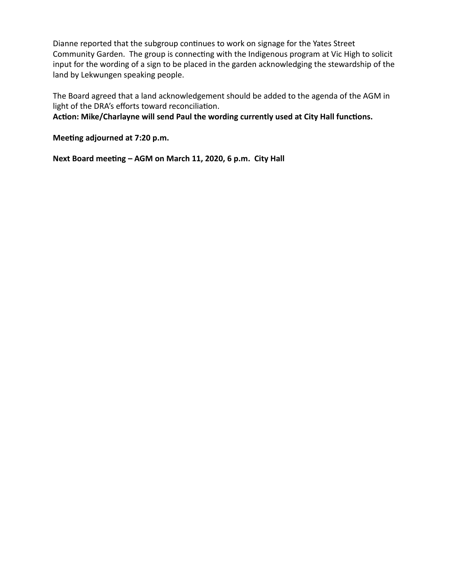Dianne reported that the subgroup continues to work on signage for the Yates Street Community Garden. The group is connecting with the Indigenous program at Vic High to solicit input for the wording of a sign to be placed in the garden acknowledging the stewardship of the land by Lekwungen speaking people.

The Board agreed that a land acknowledgement should be added to the agenda of the AGM in light of the DRA's efforts toward reconciliation.

Action: Mike/Charlayne will send Paul the wording currently used at City Hall functions.

**Meeting adjourned at 7:20 p.m.** 

Next Board meeting - AGM on March 11, 2020, 6 p.m. City Hall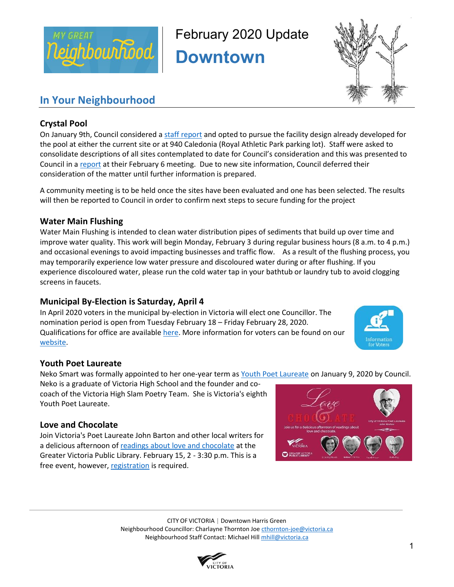

February 2020 Update

**Downtown** 



## **In Your Neighbourhood**

## **Crystal Pool**

On January 9th, Council considered a staff report and opted to pursue the facility design already developed for the pool at either the current site or at 940 Caledonia (Royal Athletic Park parking lot). Staff were asked to consolidate descriptions of all sites contemplated to date for Council's consideration and this was presented to Council in a report at their February 6 meeting. Due to new site information, Council deferred their consideration of the matter until further information is prepared.

A community meeting is to be held once the sites have been evaluated and one has been selected. The results will then be reported to Council in order to confirm next steps to secure funding for the project

### **Water Main Flushing**

Water Main Flushing is intended to clean water distribution pipes of sediments that build up over time and improve water quality. This work will begin Monday, February 3 during regular business hours (8 a.m. to 4 p.m.) and occasional evenings to avoid impacting businesses and traffic flow. As a result of the flushing process, you may temporarily experience low water pressure and discoloured water during or after flushing. If you experience discoloured water, please run the cold water tap in your bathtub or laundry tub to avoid clogging screens in faucets.

## **Municipal By-Election is Saturday, April 4**

In April 2020 voters in the municipal by-election in Victoria will elect one Councillor. The nomination period is open from Tuesday February 18 – Friday February 28, 2020. Qualifications for office are available here. More information for voters can be found on our website.



## **Youth Poet Laureate**

Neko Smart was formally appointed to her one-year term as Youth Poet Laureate on January 9, 2020 by Council.

Neko is a graduate of Victoria High School and the founder and cocoach of the Victoria High Slam Poetry Team. She is Victoria's eighth Youth Poet Laureate.

## **Love and Chocolate**

Join Victoria's Poet Laureate John Barton and other local writers for a delicious afternoon of readings about love and chocolate at the Greater Victoria Public Library. February 15, 2 - 3:30 p.m. This is a free event, however, registration is required.



CITY OF VICTORIA | Downtown Harris Green Neighbourhood Councillor: Charlayne Thornton Joe cthornton-joe@victoria.ca Neighbourhood Staff Contact: Michael Hill mhill@victoria.ca

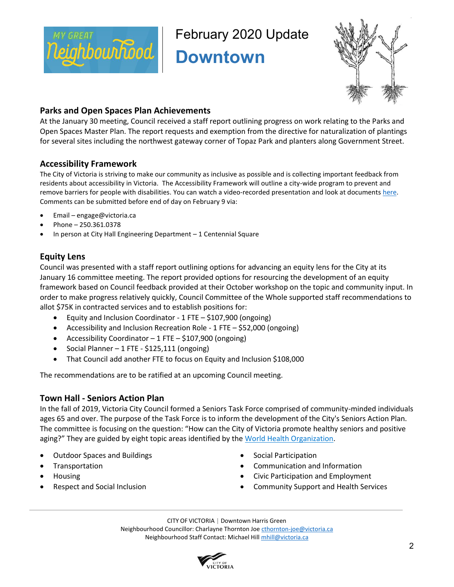

February 2020 Update

**Downtown** 



### **Parks and Open Spaces Plan Achievements**

At the January 30 meeting, Council received a staff report outlining progress on work relating to the Parks and Open Spaces Master Plan. The report requests and exemption from the directive for naturalization of plantings for several sites including the northwest gateway corner of Topaz Park and planters along Government Street.

## **Accessibility Framework**

The City of Victoria is striving to make our community as inclusive as possible and is collecting important feedback from residents about accessibility in Victoria. The Accessibility Framework will outline a city-wide program to prevent and remove barriers for people with disabilities. You can watch a video-recorded presentation and look at documents here. Comments can be submitted before end of day on February 9 via:

- Email engage@victoria.ca
- Phone 250.361.0378
- In person at City Hall Engineering Department 1 Centennial Square

## **Equity Lens**

Council was presented with a staff report outlining options for advancing an equity lens for the City at its January 16 committee meeting. The report provided options for resourcing the development of an equity framework based on Council feedback provided at their October workshop on the topic and community input. In order to make progress relatively quickly, Council Committee of the Whole supported staff recommendations to allot \$75K in contracted services and to establish positions for:

- Equity and Inclusion Coordinator 1 FTE \$107,900 (ongoing)
- Accessibility and Inclusion Recreation Role 1 FTE \$52,000 (ongoing)
- Accessibility Coordinator 1 FTE \$107,900 (ongoing)
- Social Planner 1 FTE \$125,111 (ongoing)
- That Council add another FTE to focus on Equity and Inclusion \$108,000

The recommendations are to be ratified at an upcoming Council meeting.

#### **Town Hall - Seniors Action Plan**

In the fall of 2019, Victoria City Council formed a Seniors Task Force comprised of community-minded individuals ages 65 and over. The purpose of the Task Force is to inform the development of the City's Seniors Action Plan. The committee is focusing on the question: "How can the City of Victoria promote healthy seniors and positive aging?" They are guided by eight topic areas identified by the World Health Organization.

- Outdoor Spaces and Buildings
- **Transportation**
- Housing
- Respect and Social Inclusion
- Social Participation
- Communication and Information
- Civic Participation and Employment
- Community Support and Health Services

CITY OF VICTORIA | Downtown Harris Green Neighbourhood Councillor: Charlayne Thornton Joe cthornton-joe@victoria.ca Neighbourhood Staff Contact: Michael Hill mhill@victoria.ca

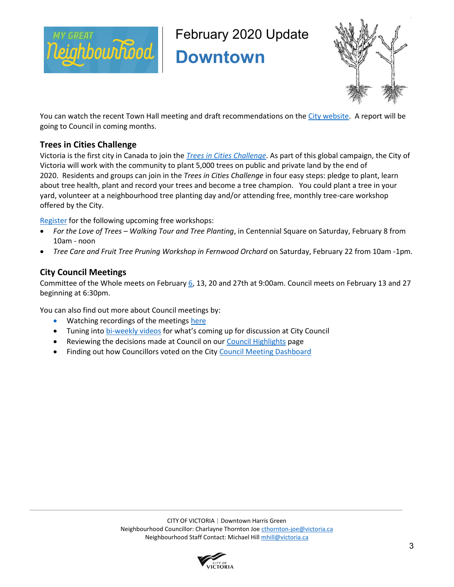

February 2020 Update

**Downtown** 



You can watch the recent Town Hall meeting and draft recommendations on the City website. A report will be going to Council in coming months.

### **Trees in Cities Challenge**

Victoria is the first city in Canada to join the *Trees in Cities Challenge*. As part of this global campaign, the City of Victoria will work with the community to plant 5,000 trees on public and private land by the end of 2020. Residents and groups can join in the *Trees in Cities Challenge* in four easy steps: pledge to plant, learn about tree health, plant and record your trees and become a tree champion. You could plant a tree in your yard, volunteer at a neighbourhood tree planting day and/or attending free, monthly tree-care workshop offered by the City.

Register for the following upcoming free workshops:

- *For the Love of Trees – Walking Tour and Tree Planting*, in Centennial Square on Saturday, February 8 from 10am - noon
- *Tree Care and Fruit Tree Pruning Workshop in Fernwood Orchard* on Saturday, February 22 from 10am -1pm.

#### **City Council Meetings**

Committee of the Whole meets on February 6, 13, 20 and 27th at 9:00am. Council meets on February 13 and 27 beginning at 6:30pm.

You can also find out more about Council meetings by:

- Watching recordings of the meetings here
- Tuning into bi-weekly videos for what's coming up for discussion at City Council
- Reviewing the decisions made at Council on our Council Highlights page
- Finding out how Councillors voted on the City Council Meeting Dashboard

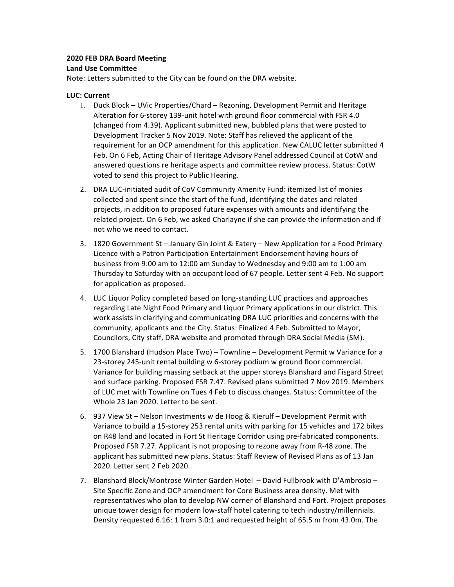#### **2020 FEB DRA Board Meeting**

#### **Land Use Committee**

Note: Letters submitted to the City can be found on the DRA website.

#### **LUC: Current**

- 1. Duck Block UVic Properties/Chard Rezoning, Development Permit and Heritage Alteration for 6-storey 139-unit hotel with ground floor commercial with FSR 4.0 (changed from 4.39). Applicant submitted new, bubbled plans that were posted to Development Tracker 5 Nov 2019. Note: Staff has relieved the applicant of the requirement for an OCP amendment for this application. New CALUC letter submitted 4 Feb. On 6 Feb, Acting Chair of Heritage Advisory Panel addressed Council at CotW and answered questions re heritage aspects and committee review process. Status: CotW voted to send this project to Public Hearing.
- 2. DRA LUC-initiated audit of CoV Community Amenity Fund: itemized list of monies collected and spent since the start of the fund, identifying the dates and related projects, in addition to proposed future expenses with amounts and identifying the related project. On 6 Feb, we asked Charlayne if she can provide the information and if not who we need to contact.
- 3. 1820 Government St January Gin Joint & Eatery New Application for a Food Primary Licence with a Patron Participation Entertainment Endorsement having hours of business from 9:00 am to 12:00 am Sunday to Wednesday and 9:00 am to 1:00 am Thursday to Saturday with an occupant load of 67 people. Letter sent 4 Feb. No support for application as proposed.
- 4. LUC Liquor Policy completed based on long-standing LUC practices and approaches regarding Late Night Food Primary and Liquor Primary applications in our district. This work assists in clarifying and communicating DRA LUC priorities and concerns with the community, applicants and the City. Status: Finalized 4 Feb. Submitted to Mayor, Councilors, City staff, DRA website and promoted through DRA Social Media (SM).
- 5. 1700 Blanshard (Hudson Place Two) Townline Development Permit w Variance for a 23-storey 245-unit rental building w 6-storey podium w ground floor commercial. Variance for building massing setback at the upper storeys Blanshard and Fisgard Street and surface parking. Proposed FSR 7.47. Revised plans submitted 7 Nov 2019. Members of LUC met with Townline on Tues 4 Feb to discuss changes. Status: Committee of the Whole 23 Jan 2020. Letter to be sent.
- 6. 937 View St Nelson Investments w de Hoog & Kierulf Development Permit with Variance to build a 15-storey 253 rental units with parking for 15 vehicles and 172 bikes on R48 land and located in Fort St Heritage Corridor using pre-fabricated components. Proposed FSR 7.27. Applicant is not proposing to rezone away from R-48 zone. The applicant has submitted new plans. Status: Staff Review of Revised Plans as of 13 Jan 2020. Letter sent 2 Feb 2020.
- 7. Blanshard Block/Montrose Winter Garden Hotel David Fullbrook with D'Ambrosio -Site Specific Zone and OCP amendment for Core Business area density. Met with representatives who plan to develop NW corner of Blanshard and Fort. Project proposes unique tower design for modern low-staff hotel catering to tech industry/millennials. Density requested 6.16: 1 from 3.0:1 and requested height of 65.5 m from 43.0m. The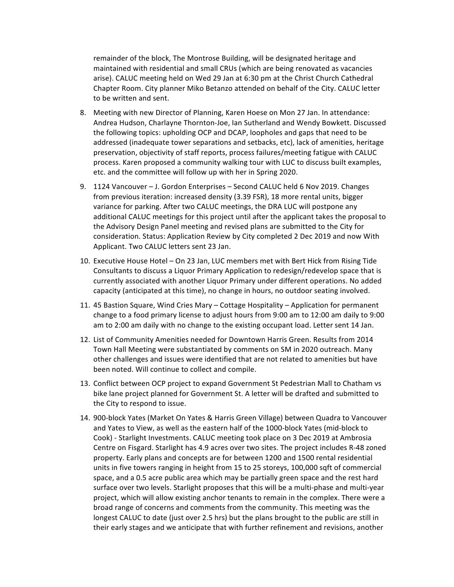remainder of the block, The Montrose Building, will be designated heritage and maintained with residential and small CRUs (which are being renovated as vacancies arise). CALUC meeting held on Wed 29 Jan at 6:30 pm at the Christ Church Cathedral Chapter Room. City planner Miko Betanzo attended on behalf of the City. CALUC letter to be written and sent.

- 8. Meeting with new Director of Planning, Karen Hoese on Mon 27 Jan. In attendance: Andrea Hudson, Charlayne Thornton-Joe, Ian Sutherland and Wendy Bowkett. Discussed the following topics: upholding OCP and DCAP, loopholes and gaps that need to be addressed (inadequate tower separations and setbacks, etc), lack of amenities, heritage preservation, objectivity of staff reports, process failures/meeting fatigue with CALUC process. Karen proposed a community walking tour with LUC to discuss built examples, etc. and the committee will follow up with her in Spring 2020.
- 9. 1124 Vancouver J. Gordon Enterprises Second CALUC held 6 Nov 2019. Changes from previous iteration: increased density (3.39 FSR), 18 more rental units, bigger variance for parking. After two CALUC meetings, the DRA LUC will postpone any additional CALUC meetings for this project until after the applicant takes the proposal to the Advisory Design Panel meeting and revised plans are submitted to the City for consideration. Status: Application Review by City completed 2 Dec 2019 and now With Applicant. Two CALUC letters sent 23 Jan.
- 10. Executive House Hotel On 23 Jan, LUC members met with Bert Hick from Rising Tide Consultants to discuss a Liquor Primary Application to redesign/redevelop space that is currently associated with another Liquor Primary under different operations. No added capacity (anticipated at this time), no change in hours, no outdoor seating involved.
- 11. 45 Bastion Square, Wind Cries Mary Cottage Hospitality Application for permanent change to a food primary license to adjust hours from 9:00 am to 12:00 am daily to 9:00 am to 2:00 am daily with no change to the existing occupant load. Letter sent 14 Jan.
- 12. List of Community Amenities needed for Downtown Harris Green. Results from 2014 Town Hall Meeting were substantiated by comments on SM in 2020 outreach. Many other challenges and issues were identified that are not related to amenities but have been noted. Will continue to collect and compile.
- 13. Conflict between OCP project to expand Government St Pedestrian Mall to Chatham vs bike lane project planned for Government St. A letter will be drafted and submitted to the City to respond to issue.
- 14. 900-block Yates (Market On Yates & Harris Green Village) between Quadra to Vancouver and Yates to View, as well as the eastern half of the 1000-block Yates (mid-block to Cook) - Starlight Investments. CALUC meeting took place on 3 Dec 2019 at Ambrosia Centre on Fisgard. Starlight has 4.9 acres over two sites. The project includes R-48 zoned property. Early plans and concepts are for between 1200 and 1500 rental residential units in five towers ranging in height from 15 to 25 storeys, 100,000 sqft of commercial space, and a 0.5 acre public area which may be partially green space and the rest hard surface over two levels. Starlight proposes that this will be a multi-phase and multi-year project, which will allow existing anchor tenants to remain in the complex. There were a broad range of concerns and comments from the community. This meeting was the longest CALUC to date (just over 2.5 hrs) but the plans brought to the public are still in their early stages and we anticipate that with further refinement and revisions, another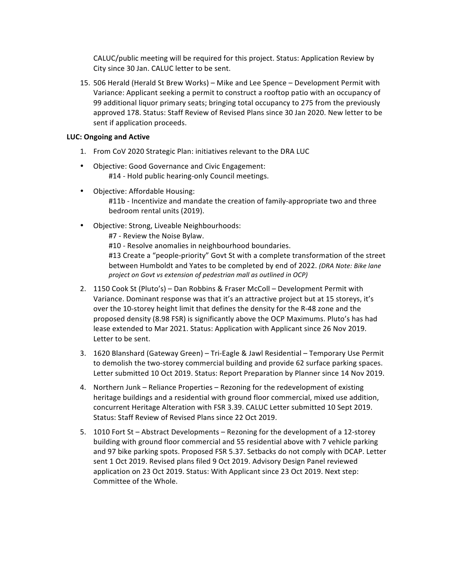CALUC/public meeting will be required for this project. Status: Application Review by City since 30 Jan. CALUC letter to be sent.

15. 506 Herald (Herald St Brew Works) – Mike and Lee Spence – Development Permit with Variance: Applicant seeking a permit to construct a rooftop patio with an occupancy of 99 additional liquor primary seats; bringing total occupancy to 275 from the previously approved 178. Status: Staff Review of Revised Plans since 30 Jan 2020. New letter to be sent if application proceeds.

#### **LUC: Ongoing and Active**

- 1. From CoV 2020 Strategic Plan: initiatives relevant to the DRA LUC
- Objective: Good Governance and Civic Engagement: #14 - Hold public hearing-only Council meetings.
- Objective: Affordable Housing: #11b - Incentivize and mandate the creation of family-appropriate two and three bedroom rental units (2019).
- Objective: Strong, Liveable Neighbourhoods:

#7 - Review the Noise Bylaw.

#10 - Resolve anomalies in neighbourhood boundaries.

#13 Create a "people-priority" Govt St with a complete transformation of the street between Humboldt and Yates to be completed by end of 2022. *(DRA Note: Bike lane project on Govt vs extension of pedestrian mall as outlined in OCP)* 

- 2. 1150 Cook St (Pluto's) Dan Robbins & Fraser McColl Development Permit with Variance. Dominant response was that it's an attractive project but at 15 storeys, it's over the 10-storey height limit that defines the density for the R-48 zone and the proposed density (8.98 FSR) is significantly above the OCP Maximums. Pluto's has had lease extended to Mar 2021. Status: Application with Applicant since 26 Nov 2019. Letter to be sent.
- 3. 1620 Blanshard (Gateway Green) Tri-Eagle & Jawl Residential Temporary Use Permit to demolish the two-storey commercial building and provide 62 surface parking spaces. Letter submitted 10 Oct 2019. Status: Report Preparation by Planner since 14 Nov 2019.
- 4. Northern Junk Reliance Properties Rezoning for the redevelopment of existing heritage buildings and a residential with ground floor commercial, mixed use addition, concurrent Heritage Alteration with FSR 3.39. CALUC Letter submitted 10 Sept 2019. Status: Staff Review of Revised Plans since 22 Oct 2019.
- 5. 1010 Fort St Abstract Developments Rezoning for the development of a 12-storey building with ground floor commercial and 55 residential above with 7 vehicle parking and 97 bike parking spots. Proposed FSR 5.37. Setbacks do not comply with DCAP. Letter sent 1 Oct 2019. Revised plans filed 9 Oct 2019. Advisory Design Panel reviewed application on 23 Oct 2019. Status: With Applicant since 23 Oct 2019. Next step: Committee of the Whole.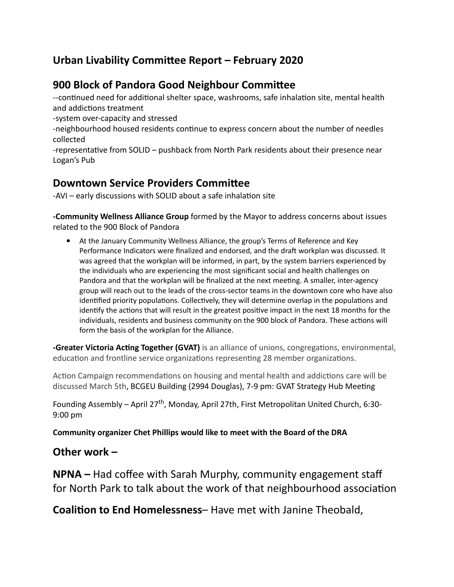## **Urban Livability Committee Report – February 2020**

## **900 Block of Pandora Good Neighbour Commiee**

--continued need for additional shelter space, washrooms, safe inhalation site, mental health and addictions treatment

-system over-capacity and stressed

-neighbourhood housed residents continue to express concern about the number of needles collected

-representative from SOLID - pushback from North Park residents about their presence near Logan's Pub

## **Downtown Service Providers Committee**

-AVI – early discussions with SOLID about a safe inhalation site

**-Community Wellness Alliance Group** formed by the Mayor to address concerns about issues related to the 900 Block of Pandora

● At the January Community Wellness Alliance, the group's Terms of Reference and Key Performance Indicators were finalized and endorsed, and the draft workplan was discussed. It was agreed that the workplan will be informed, in part, by the system barriers experienced by the individuals who are experiencing the most significant social and health challenges on Pandora and that the workplan will be finalized at the next meeting. A smaller, inter-agency group will reach out to the leads of the cross-sector teams in the downtown core who have also identified priority populations. Collectively, they will determine overlap in the populations and identify the actions that will result in the greatest positive impact in the next 18 months for the individuals, residents and business community on the 900 block of Pandora. These actions will form the basis of the workplan for the Alliance.

**-Greater Victoria Acting Together (GVAT)** is an alliance of unions, congregations, environmental, education and frontline service organizations representing 28 member organizations.

Action Campaign recommendations on housing and mental health and addictions care will be discussed March 5th, BCGEU Building (2994 Douglas), 7-9 pm: GVAT Strategy Hub Meeting

Founding Assembly – April 27<sup>th</sup>, Monday, April 27th, First Metropolitan United Church, 6:30-9:00 pm

**Community organizer Chet Phillips would like to meet with the Board of the DRA**

## **Other work –**

**NPNA –** Had coffee with Sarah Murphy, community engagement staff for North Park to talk about the work of that neighbourhood association

**Coalition to End Homelessness-** Have met with Janine Theobald,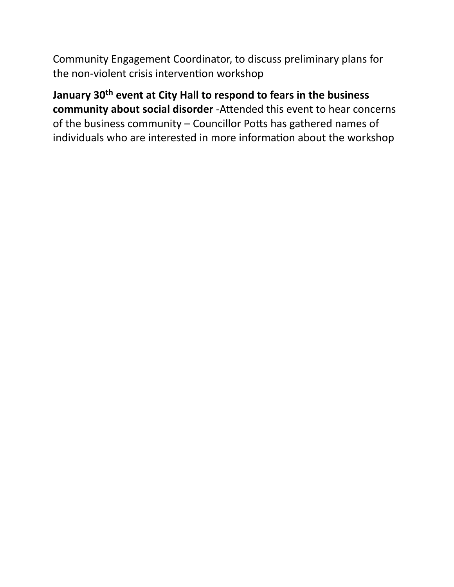Community Engagement Coordinator, to discuss preliminary plans for the non-violent crisis intervention workshop

# **January 30th event at City Hall to respond to fears in the business community about social disorder** -Attended this event to hear concerns of the business community  $-$  Councillor Potts has gathered names of individuals who are interested in more information about the workshop